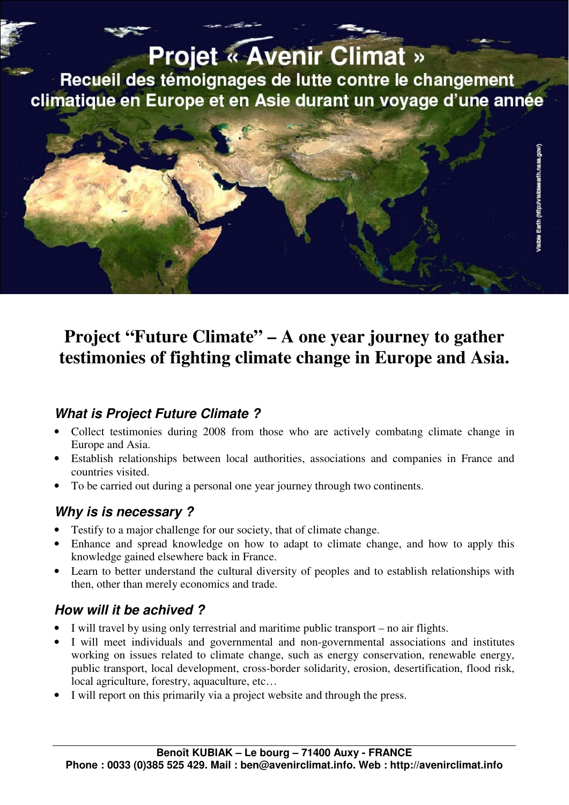# **Projet « Avenir Climat »**

Recueil des témoignages de lutte contre le changement climatique en Europe et en Asie durant un voyage d'une année



## **Project "Future Climate" – A one year journey to gather testimonies of fighting climate change in Europe and Asia.**

#### **What is Project Future Climate ?**

- Collect testimonies during 2008 from those who are actively combating climate change in Europe and Asia.
- Establish relationships between local authorities, associations and companies in France and countries visited.
- To be carried out during a personal one year journey through two continents.

#### **Why is is necessary ?**

- Testify to a major challenge for our society, that of climate change.
- Enhance and spread knowledge on how to adapt to climate change, and how to apply this knowledge gained elsewhere back in France.
- Learn to better understand the cultural diversity of peoples and to establish relationships with then, other than merely economics and trade.

#### **How will it be achived ?**

- I will travel by using only terrestrial and maritime public transport no air flights.
- I will meet individuals and governmental and non-governmental associations and institutes working on issues related to climate change, such as energy conservation, renewable energy, public transport, local development, cross-border solidarity, erosion, desertification, flood risk, local agriculture, forestry, aquaculture, etc…
- I will report on this primarily via a project website and through the press.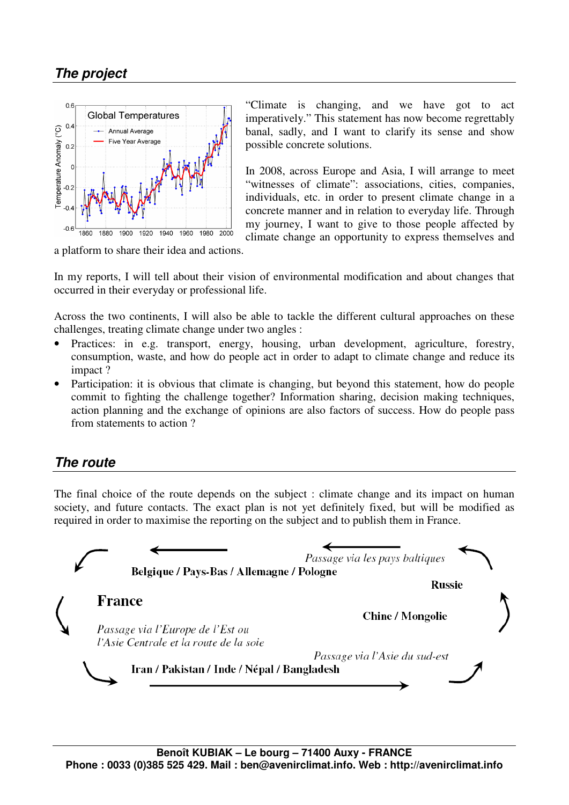#### **The project**



"Climate is changing, and we have got to act imperatively." This statement has now become regrettably banal, sadly, and I want to clarify its sense and show possible concrete solutions.

In 2008, across Europe and Asia, I will arrange to meet "witnesses of climate": associations, cities, companies, individuals, etc. in order to present climate change in a concrete manner and in relation to everyday life. Through my journey, I want to give to those people affected by climate change an opportunity to express themselves and

a platform to share their idea and actions.

In my reports, I will tell about their vision of environmental modification and about changes that occurred in their everyday or professional life.

Across the two continents, I will also be able to tackle the different cultural approaches on these challenges, treating climate change under two angles :

- Practices: in e.g. transport, energy, housing, urban development, agriculture, forestry, consumption, waste, and how do people act in order to adapt to climate change and reduce its impact ?
- Participation: it is obvious that climate is changing, but beyond this statement, how do people commit to fighting the challenge together? Information sharing, decision making techniques, action planning and the exchange of opinions are also factors of success. How do people pass from statements to action ?

#### **The route**

The final choice of the route depends on the subject : climate change and its impact on human society, and future contacts. The exact plan is not yet definitely fixed, but will be modified as required in order to maximise the reporting on the subject and to publish them in France.

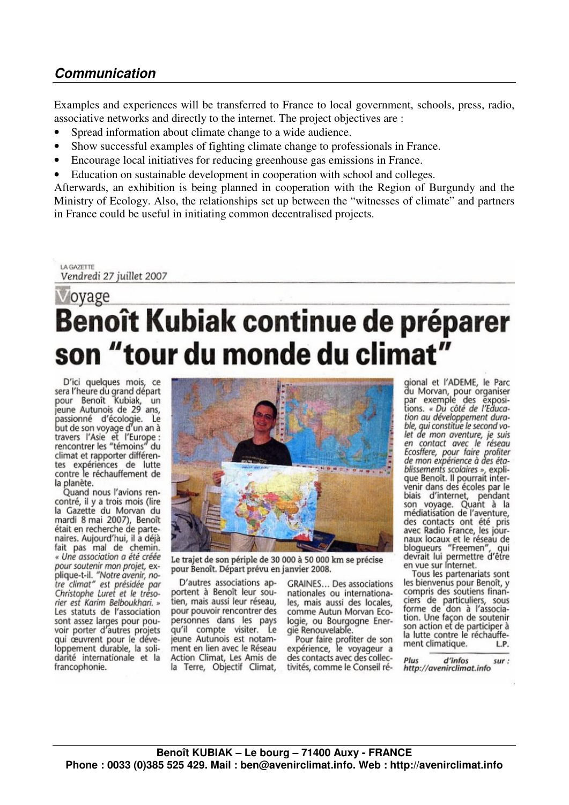#### **Communication**

Examples and experiences will be transferred to France to local government, schools, press, radio, associative networks and directly to the internet. The project objectives are :

- Spread information about climate change to a wide audience.
- Show successful examples of fighting climate change to professionals in France.
- Encourage local initiatives for reducing greenhouse gas emissions in France.
- Education on sustainable development in cooperation with school and colleges.

Afterwards, an exhibition is being planned in cooperation with the Region of Burgundy and the Ministry of Ecology. Also, the relationships set up between the "witnesses of climate" and partners in France could be useful in initiating common decentralised projects.

LA GAZETTE Vendredi 27 juillet 2007

# ovage **Benoît Kubiak continue de préparer** son "tour du monde du climat"

D'ici quelques mois, ce<br>sera l'heure du grand départ<br>pour Benoît Kubiak, un jeune Autunois de 29 ans, passionné d'écologie. Le<br>but de son voyage d'un an à travers l'Asie et l'Europe :<br>rencontrer les "témoins" du climat et rapporter différentes expériences de lutte contre le réchauffement de la planète.

Quand nous l'avions rencontré, il y a trois mois (lire la Gazette du Morvan du mardi 8 mai 2007), Benoît était en recherche de partenaires. Aujourd'hui, il a déjà fait pas mal de chemin. « Une association a été créée pour soutenir mon projet, expour soutent "Notre avenir, no-<br>tre climat" est présidée par<br>Christophe Luret et le trésorier est Karim Belboukhari. » Les statuts de l'association sont assez larges pour pouvoir porter d'autres projets qui œuvrent pour le développement durable, la solidarité internationale et la francophonie.



Le trajet de son périple de 30 000 à 50 000 km se précise pour Benoît. Départ prévu en janvier 2008.

D'autres associations apportent à Benoît leur soutien, mais aussi leur réseau, pour pouvoir rencontrer des personnes dans les pays qu'il compte visiter. Le jeune Autunois est notamment en lien avec le Réseau Action Climat, Les Amis de la Terre, Objectif Climat,

**GRAINES... Des associations** nationales ou internationales, mais aussi des locales, comme Autun Morvan Ecologie, ou Bourgogne Energie Renouvelable.

Pour faire profiter de son<br>expérience, le voyageur a des contacts avec des collectivités, comme le Conseil ré-

gional et l'ADEME, le Parc du Morvan, pour organiser<br>par exemple des exposi-<br>tions. « Du côté de l'Éduca-<br>tion au développement durable, qui constitue le second volet de mon aventure, je suis<br>en contact avec le réseau Ecosffere, pour faire profiter de mon expérience à des établissements scolaires », explique Benoît. Il pourrait intervenir dans des écoles par le biais d'internet, pendant son voyage. Quant à la<br>médiatisation de l'aventure, des contacts ont été pris<br>avec Radio France, les journaux locaux et le réseau de blogueurs "Freemen", qui<br>devrait lui permettre d'être en vue sur Internet.

Tous les partenariats sont les bienvenus pour Benoît, y compris des soutiens financiers de particuliers, sous<br>forme de don à l'association. Une façon de soutenir son action et de participer à la lutte contre le réchauffement climatique. L.P.

d'infos Plus sur: http://avenirclimat.info